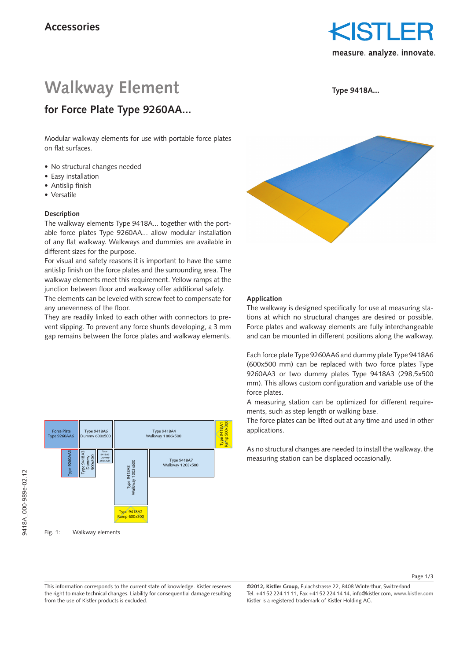

# **Walkway Element**

**for Force Plate Type 9260AA...**

**Type 9418A...**

## Modular walkway elements for use with portable force plates on flat surfaces.

- No structural changes needed
- Easy installation
- Antislip finish
- • Versatile

#### **Description**

The walkway elements Type 9418A... together with the portable force plates Type 9260AA... allow modular installation of any flat walkway. Walkways and dummies are available in different sizes for the purpose.

For visual and safety reasons it is important to have the same antislip finish on the force plates and the surrounding area. The walkway elements meet this requirement. Yellow ramps at the junction between floor and walkway offer additional safety.

The elements can be leveled with screw feet to compensate for any unevenness of the floor.

They are readily linked to each other with connectors to prevent slipping. To prevent any force shunts developing, a 3 mm gap remains between the force plates and walkway elements.



Fig. 1: Walkway elements



#### **Application**

The walkway is designed specifically for use at measuring stations at which no structural changes are desired or possible. Force plates and walkway elements are fully interchangeable and can be mounted in different positions along the walkway.

Each force plate Type 9260AA6 and dummy plate Type 9418A6 (600x500 mm) can be replaced with two force plates Type 9260AA3 or two dummy plates Type 9418A3 (298,5x500 mm). This allows custom configuration and variable use of the force plates.

A measuring station can be optimized for different requirements, such as step length or walking base.

The force plates can be lifted out at any time and used in other applications.

As no structural changes are needed to install the walkway, the measuring station can be displaced occasionally.

Page 1/3

This information corresponds to the current state of knowledge. Kistler reserves the right to make technical changes. Liability for consequential damage resulting from the use of Kistler products is excluded.

**©2012, Kistler Group,** Eulachstrasse 22, 8408 Winterthur, Switzerland Tel. +41 52 224 11 11, Fax +41 52 224 14 14, info@kistler.com, **www.kistler.com** Kistler is a registered trademark of Kistler Holding AG.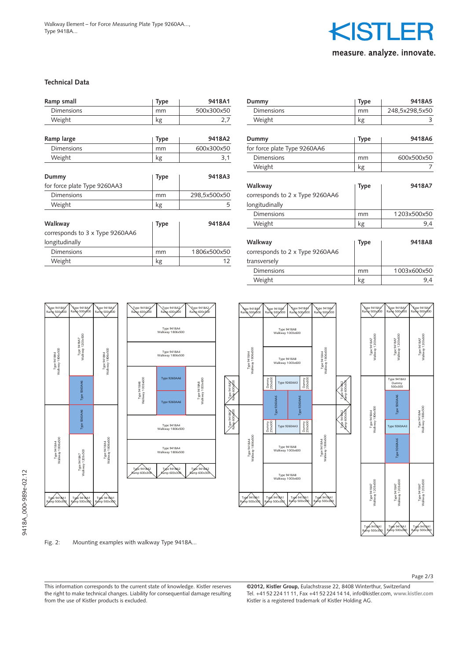

#### **Technical Data**

| Ramp small                      | <b>Type</b> | 9418A1       |
|---------------------------------|-------------|--------------|
| Dimensions                      | mm          | 500x300x50   |
| Weight                          | kg          | 2,7          |
| Ramp large                      | Type        | 9418A2       |
| Dimensions                      | mm          | 600x300x50   |
| Weight                          | kg          | 3,1          |
| Dummy                           | Type        | 9418A3       |
| for force plate Type 9260AA3    |             |              |
| <b>Dimensions</b>               | mm          | 298,5x500x50 |
| Weight                          | kg          | 5            |
| Walkway                         | Type        | 9418A4       |
| corresponds to 3 x Type 9260AA6 |             |              |
| longitudinally                  |             |              |
| <b>Dimensions</b>               | mm          | 1806x500x50  |
| Weight                          | kg          | 12           |

| Dummy                                                      | Type | 9418A5         |
|------------------------------------------------------------|------|----------------|
| Dimensions                                                 | mm   | 248,5x298,5x50 |
| Weight                                                     | kg   | 3              |
| Dummy                                                      | Type | 9418A6         |
| for force plate Type 9260AA6                               |      |                |
| <b>Dimensions</b>                                          | mm   | 600x500x50     |
| Weight                                                     | kg   | 7              |
| Walkway<br>corresponds to 2 x Type 9260AA6                 | Type | 9418A7         |
| longitudinally                                             |      |                |
| Dimensions                                                 | mm   | 1203x500x50    |
| Weight                                                     | kg   | 9,4            |
| Walkway<br>corresponds to 2 x Type 9260AA6<br>transversely | Type | 9418A8         |
| Dimensions                                                 | mm   | 1003x600x50    |
| Weight                                                     | kg   | 9,4            |



Ramp 600x300

Ramp 600x300





9418A\_000-989e-02.12

9418A\_000-989e-02.12

Fig. 2: Mounting examples with walkway Type 9418A...

This information corresponds to the current state of knowledge. Kistler reserves the right to make technical changes. Liability for consequential damage resulting from the use of Kistler products is excluded.

**©2012, Kistler Group,** Eulachstrasse 22, 8408 Winterthur, Switzerland Tel. +41 52 224 11 11, Fax +41 52 224 14 14, info@kistler.com, **www.kistler.com** Kistler is a registered trademark of Kistler Holding AG.